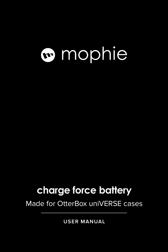# mophie

### **charge force battery**

Made for OtterBox uniVERSE cases

**USER MANUAL**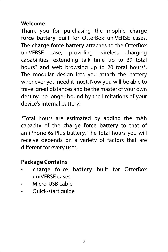#### **Welcome**

Thank you for purchasing the mophie **charge force battery** built for OtterBox uniVERSE cases. The **charge force battery** attaches to the OtterBox uniVERSE case, providing wireless charging capabilities, extending talk time up to 39 total hours\* and web browsing up to 20 total hours\*. The modular design lets you attach the battery whenever you need it most. Now you will be able to travel great distances and be the master of your own destiny, no longer bound by the limitations of your device's internal battery!

\*Total hours are estimated by adding the mAh capacity of the **charge force battery** to that of an iPhone 6s Plus battery. The total hours you will receive depends on a variety of factors that are different for every user.

#### **Package Contains**

- **charge force battery** built for OtterBox uniVERSE cases
- Micro-USB cable
- Quick-start guide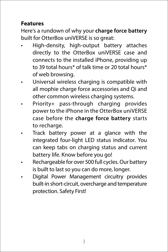#### **Features**

Here's a rundown of why your **charge force battery** built for OtterBox uniVERSE is so great:

- High-density, high-output battery attaches directly to the OtterBox uniVERSE case and connects to the installed iPhone, providing up to 39 total hours\* of talk time or 20 total hours\* of web browsing.
- Universal wireless charging is compatible with all mophie charge force accessories and Qi and other common wireless charging systems.
- Priority+ pass-through charging provides power to the iPhone in the OtterBox uniVERSE case before the **charge force battery** starts to recharge.
- Track battery power at a glance with the integrated four-light LED status indicator. You can keep tabs on charging status and current battery life. Know before you go!
- Rechargeable for over 500 full cycles. Our battery is built to last so you can do more, longer.
- Digital Power Management circuitry provides built-in short-circuit, overcharge and temperature protection. Safety First!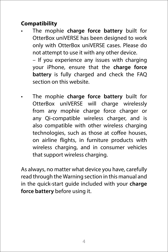#### **Compatibility**

• The mophie **charge force battery** built for OtterBox uniVERSE has been designed to work only with OtterBox uniVERSE cases. Please do not attempt to use it with any other device.

– If you experience any issues with charging your iPhone, ensure that the **charge force battery** is fully charged and check the FAQ section on this website.

• The mophie **charge force battery** built for OtterBox uniVERSE will charge wirelessly from any mophie charge force charger or any Qi-compatible wireless charger, and is also compatible with other wireless charging technologies, such as those at coffee houses, on airline flights, in furniture products with wireless charging, and in consumer vehicles that support wireless charging.

As always, no matter what device you have, carefully read through the Warning section in this manual and in the quick-start guide included with your **charge force battery** before using it.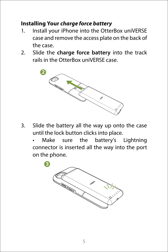#### **Installing Your** *charge force battery*

- 1. Install your iPhone into the OtterBox uniVERSE case and remove the access plate on the back of the case.
- 2. Slide the **charge force battery** into the track rails in the OtterBox uniVERSE case.



3. Slide the battery all the way up onto the case until the lock button clicks into place.

Make sure the battery's Lightning connector is inserted all the way into the port on the phone.

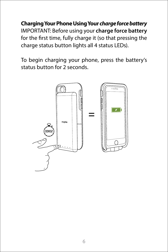**Charging Your Phone Using Your** *charge force battery* IMPORTANT: Before using your **charge force battery** for the first time, fully charge it (so that pressing the charge status button lights all 4 status LEDs).

To begin charging your phone, press the battery's status button for 2 seconds.

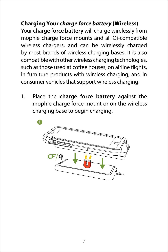**Charging Your** *charge force battery* **(Wireless)** Your **charge force battery** will charge wirelessly from mophie charge force mounts and all Qi-compatible wireless chargers, and can be wirelessly charged by most brands of wireless charging bases. It is also compatible with other wireless charging technologies, such as those used at coffee houses, on airline flights, in furniture products with wireless charging, and in consumer vehicles that support wireless charging.

1. Place the **charge force battery** against the mophie charge force mount or on the wireless charging base to begin charging.

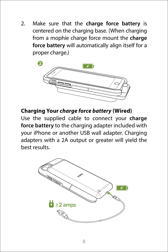2. Make sure that the **charge force battery** is centered on the charging base. (When charging from a mophie charge force mount the **charge force battery** will automatically align itself for a proper charge.)

**1**



#### **Charging Your** *charge force battery* **(Wired)**

Use the supplied cable to connect your **charge force battery** to the charging adapter included with your iPhone or another USB wall adapter. Charging adapters with a 2A output or greater will yield the best results.

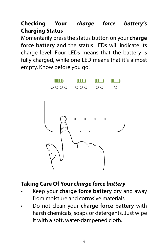**Checking Your** *charge force battery***'s Charging Status** 

Momentarily press the status button on your **charge force battery** and the status LEDs will indicate its charge level. Four LEDs means that the battery is fully charged, while one LED means that it's almost empty. Know before you go!



#### **Taking Care Of Your** *charge force battery*

- Keep your **charge force battery** dry and away from moisture and corrosive materials.
- Do not clean your **charge force battery** with harsh chemicals, soaps or detergents. Just wipe it with a soft, water-dampened cloth.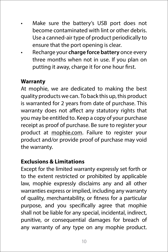- Make sure the battery's USB port does not become contaminated with lint or other debris. Use a canned-air type of product periodically to ensure that the port opening is clear.
- Recharge your **charge force battery** once every three months when not in use. If you plan on putting it away, charge it for one hour first.

#### **Warranty**

At mophie, we are dedicated to making the best quality products we can. To back this up, this product is warranted for 2 years from date of purchase. This warranty does not affect any statutory rights that you may be entitled to. Keep a copy of your purchase receipt as proof of purchase. Be sure to register your product at [mophie.com](http://www.mophie.com). Failure to register your product and/or provide proof of purchase may void the warranty.

#### **Exclusions & Limitations**

Except for the limited warranty expressly set forth or to the extent restricted or prohibited by applicable law, mophie expressly disclaims any and all other warranties express or implied, including any warranty of quality, merchantability, or fitness for a particular purpose, and you specifically agree that mophie shall not be liable for any special, incidental, indirect, punitive, or consequential damages for breach of any warranty of any type on any mophie product.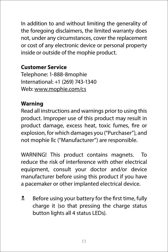In addition to and without limiting the generality of the foregoing disclaimers, the limited warranty does not, under any circumstances, cover the replacement or cost of any electronic device or personal property inside or outside of the mophie product.

#### **Customer Service**

Telephone: 1-888-8mophie International: +1 (269) 743-1340 Web: [www.mophie.com/cs](http://www.mophie.com/cs)

#### **Warning**

Read all instructions and warnings prior to using this product. Improper use of this product may result in product damage, excess heat, toxic fumes, fire or explosion, for which damages you ("Purchaser"), and not mophie llc ("Manufacturer") are responsible.

WARNING! This product contains magnets. To reduce the risk of interference with other electrical equipment, consult your doctor and/or device manufacturer before using this product if you have a pacemaker or other implanted electrical device.

 $\frac{1}{2}$  Before using your battery for the first time, fully charge it (so that pressing the charge status button lights all 4 status LEDs).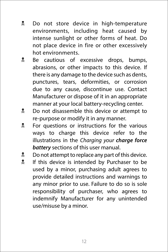- **L** Do not store device in high-temperature environments, including heat caused by intense sunlight or other forms of heat. Do not place device in fire or other excessively hot environments.
- **E** Be cautious of excessive drops, bumps, abrasions, or other impacts to this device. If there is any damage to the device such as dents, punctures, tears, deformities, or corrosion due to any cause, discontinue use. Contact Manufacturer or dispose of it in an appropriate manner at your local battery-recycling center.
- **Do not disassemble this device or attempt to** re-purpose or modify it in any manner.
- **K** For questions or instructions for the various ways to charge this device refer to the illustrations in the *Charging your charge force battery* sections of this user manual.
- $\frac{1}{2}$  Do not attempt to replace any part of this device.
- **Number** 15 If this device is intended by Purchaser to be used by a minor, purchasing adult agrees to provide detailed instructions and warnings to any minor prior to use. Failure to do so is sole responsibility of purchaser, who agrees to indemnify Manufacturer for any unintended use/misuse by a minor.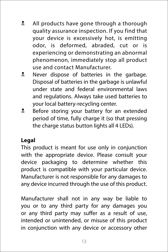- **All products have gone through a thorough** quality assurance inspection. If you find that your device is excessively hot, is emitting odor, is deformed, abraded, cut or is experiencing or demonstrating an abnormal phenomenon, immediately stop all product use and contact Manufacturer.
- **R** Never dispose of batteries in the garbage. Disposal of batteries in the garbage is unlawful under state and federal environmental laws and regulations. Always take used batteries to your local battery-recycling center.
- **Before storing your battery for an extended** period of time, fully charge it (so that pressing the charge status button lights all 4 LEDs).

#### **Legal**

This product is meant for use only in conjunction with the appropriate device. Please consult your device packaging to determine whether this product is compatible with your particular device. Manufacturer is not responsible for any damages to any device incurred through the use of this product.

Manufacturer shall not in any way be liable to you or to any third party for any damages you or any third party may suffer as a result of use, intended or unintended, or misuse of this product in conjunction with any device or accessory other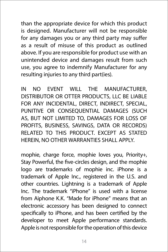than the appropriate device for which this product is designed. Manufacturer will not be responsible for any damages you or any third party may suffer as a result of misuse of this product as outlined above. If you are responsible for product use with an unintended device and damages result from such use, you agree to indemnify Manufacturer for any resulting injuries to any third part(ies).

IN NO EVENT WILL THE MANUFACTURER, DISTRIBUTOR OR OTTER PRODUCTS, LLC BE LIABLE FOR ANY INCIDENTAL, DIRECT, INDIRECT, SPECIAL, PUNITIVE OR CONSEQUENTIAL DAMAGES (SUCH AS, BUT NOT LIMITED TO, DAMAGES FOR LOSS OF PROFITS, BUSINESS, SAVINGS, DATA OR RECORDS) RELATED TO THIS PRODUCT. EXCEPT AS STATED HEREIN, NO OTHER WARRANTIES SHALL APPLY.

mophie, charge force, mophie loves you, Priority+, Stay Powerful, the five-circles design, and the mophie logo are trademarks of mophie inc. iPhone is a trademark of Apple Inc., registered in the U.S. and other countries. Lightning is a trademark of Apple Inc. The trademark "iPhone" is used with a license from Aiphone K.K. "Made for iPhone" means that an electronic accessory has been designed to connect specifically to iPhone, and has been certified by the developer to meet Apple performance standards. Apple is not responsible for the operation of this device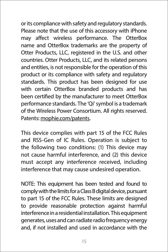or its compliance with safety and regulatory standards. Please note that the use of this accessory with iPhone may affect wireless performance. The OtterBox name and OtterBox trademarks are the property of Otter Products, LLC, registered in the U.S. and other countries. Otter Products, LLC, and its related persons and entities, is not responsible for the operation of this product or its compliance with safety and regulatory standards. This product has been designed for use with certain OtterBox branded products and has been certified by the manufacturer to meet OtterBox performance standards. The 'Qi' symbol is a trademark of the Wireless Power Consortium. All rights reserved. Patents: [mophie.com/patents](http://www.mophie.com/patents).

This device complies with part 15 of the FCC Rules and RSS-Gen of IC Rules. Operation is subject to the following two conditions: (1) This device may not cause harmful interference, and (2) this device must accept any interference received, including interference that may cause undesired operation.

NOTE: This equipment has been tested and found to comply with the limits for a Class B digital device, pursuant to part 15 of the FCC Rules. These limits are designed to provide reasonable protection against harmful interference in a residential installation. This equipment generates, uses and can radiate radio frequency energy and, if not installed and used in accordance with the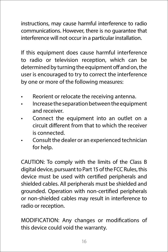instructions, may cause harmful interference to radio communications. However, there is no guarantee that interference will not occur in a particular installation.

If this equipment does cause harmful interference to radio or television reception, which can be determined by turning the equipment off and on, the user is encouraged to try to correct the interference by one or more of the following measures:

- Reorient or relocate the receiving antenna.
- Increase the separation between the equipment and receiver.
- Connect the equipment into an outlet on a circuit different from that to which the receiver is connected.
- Consult the dealer or an experienced technician for help.

CAUTION: To comply with the limits of the Class B digital device, pursuant to Part 15 of the FCC Rules, this device must be used with certified peripherals and shielded cables. All peripherals must be shielded and grounded. Operation with non-certified peripherals or non-shielded cables may result in interference to radio or reception.

MODIFICATION: Any changes or modifications of this device could void the warranty.